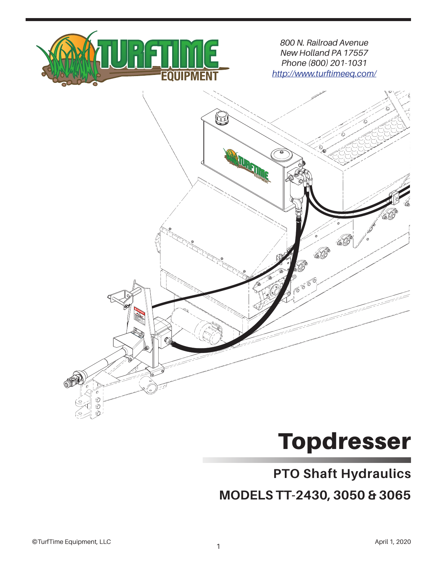

*800 N. Railroad Avenue New Holland PA 17557 Phone (800) 201-1031 http://www.turftimeeq.com/*



## Topdresser

## **PTO Shaft Hydraulics**

**MODELS TT-2430, 3050 & 3065**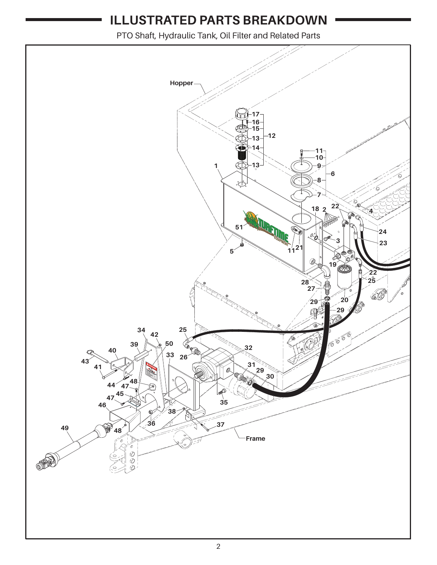## **ILLUSTRATED PARTS BREAKDOWN**

PTO Shaft, Hydraulic Tank, Oil Filter and Related Parts